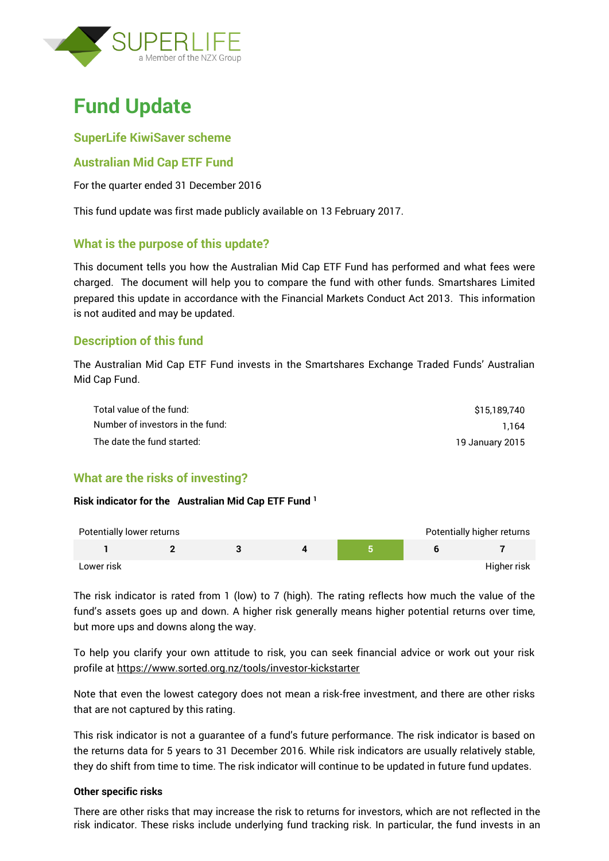

# **Fund Update**

### **SuperLife KiwiSaver scheme**

## **Australian Mid Cap ETF Fund**

For the quarter ended 31 December 2016

This fund update was first made publicly available on 13 February 2017.

### **What is the purpose of this update?**

This document tells you how the Australian Mid Cap ETF Fund has performed and what fees were charged. The document will help you to compare the fund with other funds. Smartshares Limited prepared this update in accordance with the Financial Markets Conduct Act 2013. This information is not audited and may be updated.

## **Description of this fund**

The Australian Mid Cap ETF Fund invests in the Smartshares Exchange Traded Funds' Australian Mid Cap Fund.

| Total value of the fund:         | \$15,189,740    |
|----------------------------------|-----------------|
| Number of investors in the fund: | 1.164           |
| The date the fund started:       | 19 January 2015 |

## **What are the risks of investing?**

#### **Risk indicator for the Australian Mid Cap ETF Fund <sup>1</sup>**

| Potentially lower returns |  |  | Potentially higher returns |
|---------------------------|--|--|----------------------------|
|                           |  |  |                            |
| Lower risk                |  |  | Higher risk                |

The risk indicator is rated from 1 (low) to 7 (high). The rating reflects how much the value of the fund's assets goes up and down. A higher risk generally means higher potential returns over time, but more ups and downs along the way.

To help you clarify your own attitude to risk, you can seek financial advice or work out your risk profile at<https://www.sorted.org.nz/tools/investor-kickstarter>

Note that even the lowest category does not mean a risk-free investment, and there are other risks that are not captured by this rating.

This risk indicator is not a guarantee of a fund's future performance. The risk indicator is based on the returns data for 5 years to 31 December 2016. While risk indicators are usually relatively stable, they do shift from time to time. The risk indicator will continue to be updated in future fund updates.

#### **Other specific risks**

There are other risks that may increase the risk to returns for investors, which are not reflected in the risk indicator. These risks include underlying fund tracking risk. In particular, the fund invests in an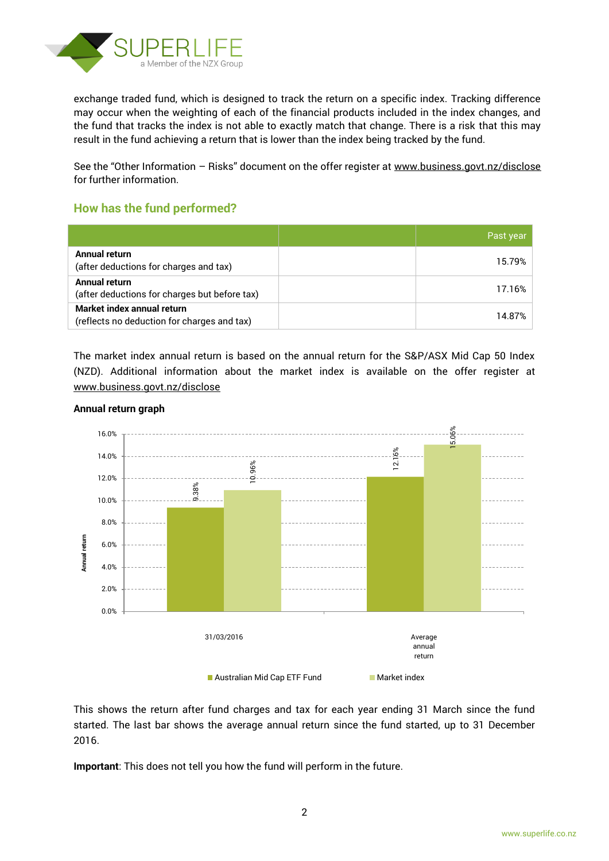

exchange traded fund, which is designed to track the return on a specific index. Tracking difference may occur when the weighting of each of the financial products included in the index changes, and the fund that tracks the index is not able to exactly match that change. There is a risk that this may result in the fund achieving a return that is lower than the index being tracked by the fund.

See the "Other Information - Risks" document on the offer register at www.business.govt.nz/disclose for further information.

## **How has the fund performed?**

|                                                                           | Past year |
|---------------------------------------------------------------------------|-----------|
| Annual return<br>(after deductions for charges and tax)                   | 15.79%    |
| Annual return<br>(after deductions for charges but before tax)            | 17.16%    |
| Market index annual return<br>(reflects no deduction for charges and tax) | 14.87%    |

The market index annual return is based on the annual return for the S&P/ASX Mid Cap 50 Index (NZD). Additional information about the market index is available on the offer register at [www.business.govt.nz/disclose](http://www.business.govt.nz/disclose)



#### **Annual return graph**

This shows the return after fund charges and tax for each year ending 31 March since the fund started. The last bar shows the average annual return since the fund started, up to 31 December 2016.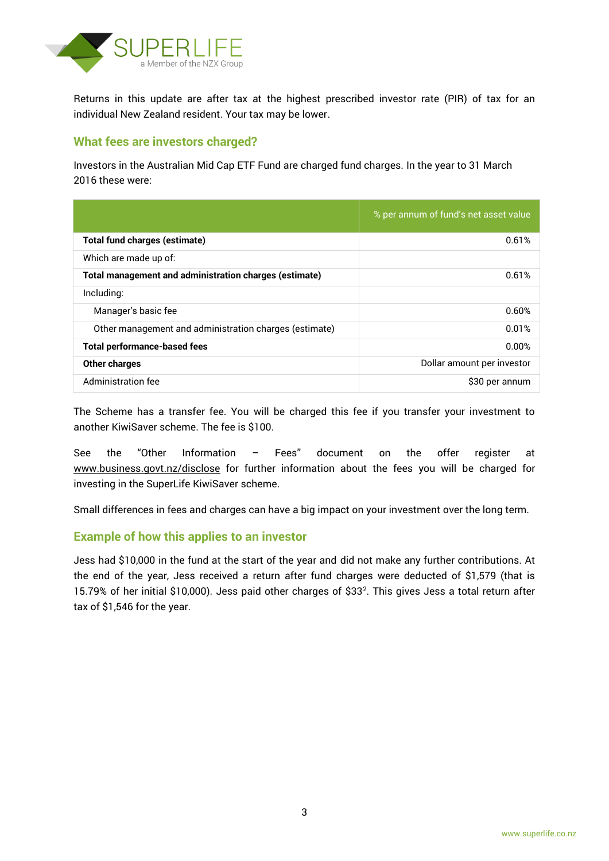

Returns in this update are after tax at the highest prescribed investor rate (PIR) of tax for an individual New Zealand resident. Your tax may be lower.

## **What fees are investors charged?**

Investors in the Australian Mid Cap ETF Fund are charged fund charges. In the year to 31 March 2016 these were:

|                                                        | % per annum of fund's net asset value |
|--------------------------------------------------------|---------------------------------------|
| Total fund charges (estimate)                          | 0.61%                                 |
| Which are made up of:                                  |                                       |
| Total management and administration charges (estimate) | 0.61%                                 |
| Including:                                             |                                       |
| Manager's basic fee                                    | 0.60%                                 |
| Other management and administration charges (estimate) | 0.01%                                 |
| <b>Total performance-based fees</b>                    | 0.00%                                 |
| Other charges                                          | Dollar amount per investor            |
| Administration fee                                     | \$30 per annum                        |

The Scheme has a transfer fee. You will be charged this fee if you transfer your investment to another KiwiSaver scheme. The fee is \$100.

See the "Other Information – Fees" document on the offer register at www.business.govt.nz/disclose for further information about the fees you will be charged for investing in the SuperLife KiwiSaver scheme.

Small differences in fees and charges can have a big impact on your investment over the long term.

### **Example of how this applies to an investor**

Jess had \$10,000 in the fund at the start of the year and did not make any further contributions. At the end of the year, Jess received a return after fund charges were deducted of \$1,579 (that is 15.79% of her initial \$10,000). Jess paid other charges of \$33<sup>2</sup> . This gives Jess a total return after tax of \$1,546 for the year.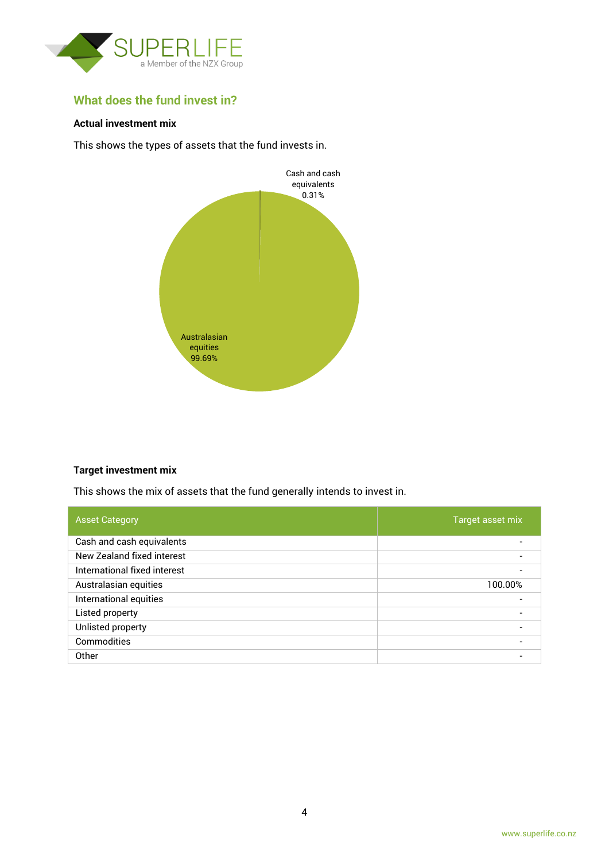

# **What does the fund invest in?**

#### **Actual investment mix**

This shows the types of assets that the fund invests in.



#### **Target investment mix**

This shows the mix of assets that the fund generally intends to invest in.

| <b>Asset Category</b>        | Target asset mix |
|------------------------------|------------------|
| Cash and cash equivalents    |                  |
| New Zealand fixed interest   |                  |
| International fixed interest |                  |
| Australasian equities        | 100.00%          |
| International equities       |                  |
| Listed property              |                  |
| Unlisted property            |                  |
| Commodities                  |                  |
| Other                        |                  |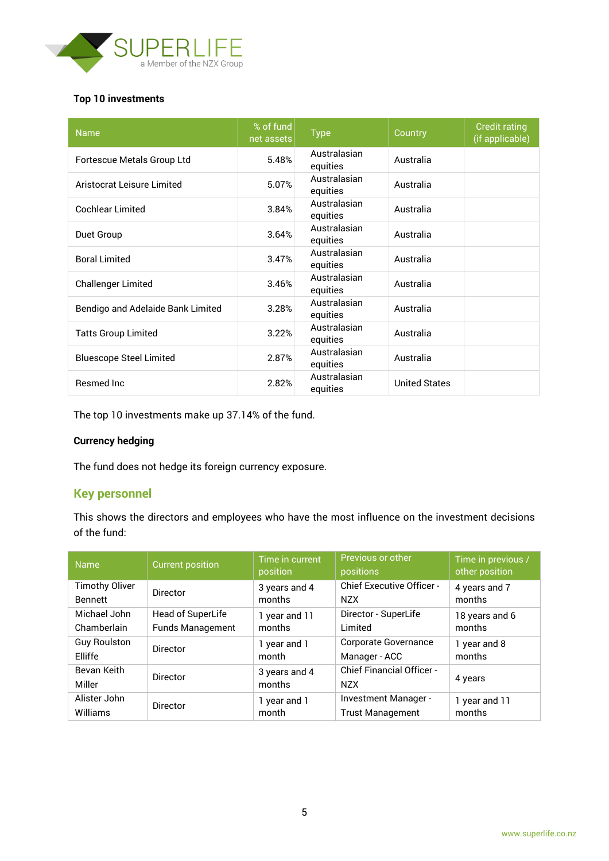

#### **Top 10 investments**

| <b>Name</b>                       | % of fund<br>net assets | <b>Type</b>              | Country              | <b>Credit rating</b><br>(if applicable) |
|-----------------------------------|-------------------------|--------------------------|----------------------|-----------------------------------------|
| Fortescue Metals Group Ltd        | 5.48%                   | Australasian<br>equities | Australia            |                                         |
| Aristocrat Leisure Limited        | 5.07%                   | Australasian<br>equities | Australia            |                                         |
| <b>Cochlear Limited</b>           | 3.84%                   | Australasian<br>equities | Australia            |                                         |
| Duet Group                        | 3.64%                   | Australasian<br>equities | Australia            |                                         |
| <b>Boral Limited</b>              | 3.47%                   | Australasian<br>equities | Australia            |                                         |
| <b>Challenger Limited</b>         | 3.46%                   | Australasian<br>equities | Australia            |                                         |
| Bendigo and Adelaide Bank Limited | 3.28%                   | Australasian<br>equities | Australia            |                                         |
| <b>Tatts Group Limited</b>        | 3.22%                   | Australasian<br>equities | Australia            |                                         |
| <b>Bluescope Steel Limited</b>    | 2.87%                   | Australasian<br>equities | Australia            |                                         |
| <b>Resmed Inc.</b>                | 2.82%                   | Australasian<br>equities | <b>United States</b> |                                         |

The top 10 investments make up 37.14% of the fund.

#### **Currency hedging**

The fund does not hedge its foreign currency exposure.

## **Key personnel**

This shows the directors and employees who have the most influence on the investment decisions of the fund:

| <b>Name</b>           | <b>Current position</b> | Time in current<br>position | Previous or other<br>positions                 | Time in previous /<br>other position |
|-----------------------|-------------------------|-----------------------------|------------------------------------------------|--------------------------------------|
| <b>Timothy Oliver</b> | Director                | 3 years and 4               | <b>Chief Executive Officer -</b>               | 4 years and 7                        |
| <b>Bennett</b>        |                         | months                      | <b>NZX</b>                                     | months                               |
| Michael John          | Head of SuperLife       | 1 year and 11               | Director - SuperLife                           | 18 years and 6                       |
| Chamberlain           | <b>Funds Management</b> | months                      | Limited                                        | months                               |
| <b>Guy Roulston</b>   | Director                | 1 year and 1                | <b>Corporate Governance</b>                    | 1 year and 8                         |
| Elliffe               |                         | month                       | Manager - ACC                                  | months                               |
| Bevan Keith<br>Miller | <b>Director</b>         | 3 years and 4<br>months     | <b>Chief Financial Officer -</b><br><b>NZX</b> | 4 years                              |
| Alister John          | <b>Director</b>         | 1 year and 1                | Investment Manager -                           | 1 year and 11                        |
| Williams              |                         | month                       | <b>Trust Management</b>                        | months                               |